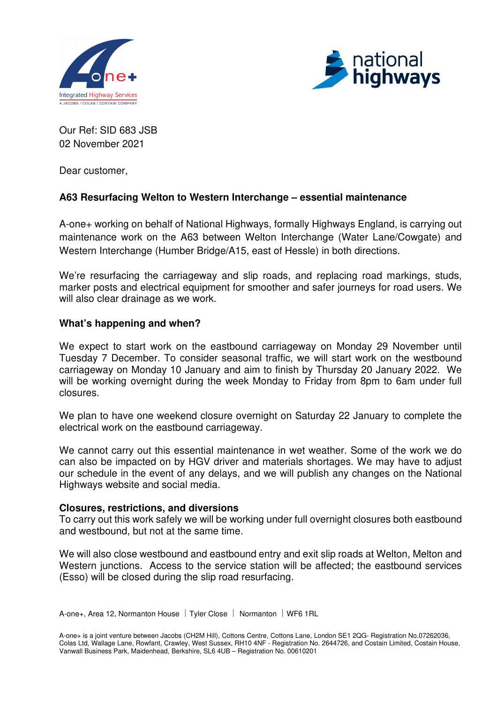



Our Ref: SID 683 JSB 02 November 2021

Dear customer,

# **A63 Resurfacing Welton to Western Interchange – essential maintenance**

A-one+ working on behalf of National Highways, formally Highways England, is carrying out maintenance work on the A63 between Welton Interchange (Water Lane/Cowgate) and Western Interchange (Humber Bridge/A15, east of Hessle) in both directions.

We're resurfacing the carriageway and slip roads, and replacing road markings, studs, marker posts and electrical equipment for smoother and safer journeys for road users. We will also clear drainage as we work.

### **What's happening and when?**

We expect to start work on the eastbound carriageway on Monday 29 November until Tuesday 7 December. To consider seasonal traffic, we will start work on the westbound carriageway on Monday 10 January and aim to finish by Thursday 20 January 2022. We will be working overnight during the week Monday to Friday from 8pm to 6am under full closures.

We plan to have one weekend closure overnight on Saturday 22 January to complete the electrical work on the eastbound carriageway.

We cannot carry out this essential maintenance in wet weather. Some of the work we do can also be impacted on by HGV driver and materials shortages. We may have to adjust our schedule in the event of any delays, and we will publish any changes on the National Highways website and social media.

#### **Closures, restrictions, and diversions**

To carry out this work safely we will be working under full overnight closures both eastbound and westbound, but not at the same time.

We will also close westbound and eastbound entry and exit slip roads at Welton, Melton and Western junctions. Access to the service station will be affected; the eastbound services (Esso) will be closed during the slip road resurfacing.

A-one+, Area 12, Normanton House | Tyler Close | Normanton | WF6 1RL

A-one+ is a joint venture between Jacobs (CH2M Hill), Cottons Centre, Cottons Lane, London SE1 2QG- Registration No.07262036, Colas Ltd, Wallage Lane, Rowfant, Crawley, West Sussex, RH10 4NF - Registration No. 2644726, and Costain Limited, Costain House, Vanwall Business Park, Maidenhead, Berkshire, SL6 4UB – Registration No. 00610201